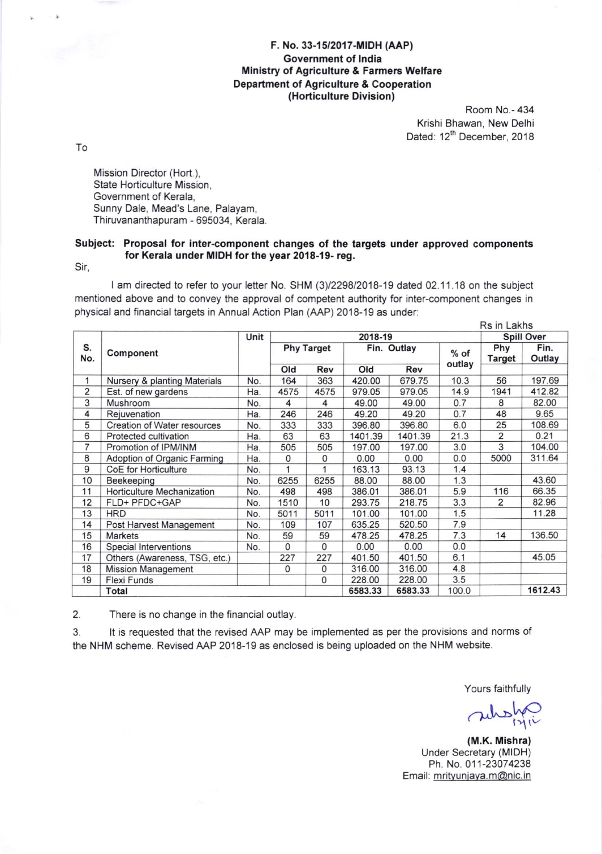## F. No. 33-15/2017-MIDH (AAP) Government of lndia Ministry of Agriculture & Farmers Welfare Department of Agriculture & Cooperation (Horticulture Division)

Room No.- 434 Krishi Bhawan, New Delhi Dated: 12<sup>th</sup> December, 2018

To

Mission Director (Hort.), State Horticulture Mission, Government of Kerala, Sunny Dale, Mead's Lane, Palayam, Thiruvananthapuram - 695034, Kerala

## Subject: Proposal for inter-component changes of the targets under approved components for Kerala under MIDH forthe year 2018-19- reg.

Sir,

I am directed to refer to your letter No. SHM (3)/2298/2018-19 dated 02.11.18 on the subject mentioned above and to convey the approval of competent authority for inter-component changes in physical and financial targets in Annual Action Plan (AAP) 2018-19 as under:

|           |                               |      |                   |          |             |         |                  | Rs in Lakhs          |                |
|-----------|-------------------------------|------|-------------------|----------|-------------|---------|------------------|----------------------|----------------|
| S.<br>No. | Component                     | Unit | 2018-19           |          |             |         |                  | <b>Spill Over</b>    |                |
|           |                               |      | <b>Phy Target</b> |          | Fin. Outlay |         | $%$ of<br>outlay | Phy<br><b>Target</b> | Fin.<br>Outlay |
|           |                               |      | Old               | Rev      | Old         | Rev     |                  |                      |                |
| 1         | Nursery & planting Materials  | No.  | 164               | 363      | 420.00      | 679.75  | 10.3             | 56                   | 197.69         |
| 2         | Est. of new gardens           | Ha.  | 4575              | 4575     | 979.05      | 979.05  | 14.9             | 1941                 | 412.82         |
| 3         | Mushroom                      | No.  | 4                 | 4        | 49.00       | 49.00   | 0.7              | 8                    | 82.00          |
| 4         | Rejuvenation                  | Ha.  | 246               | 246      | 49.20       | 49.20   | 0.7              | 48                   | 9.65           |
| 5         | Creation of Water resources   | No.  | 333               | 333      | 396.80      | 396.80  | 6.0              | 25                   | 108.69         |
| 6         | Protected cultivation         | Ha.  | 63                | 63       | 1401.39     | 1401.39 | 21.3             | $\overline{2}$       | 0.21           |
| 7         | Promotion of IPM/INM          | Ha.  | 505               | 505      | 197.00      | 197.00  | 3.0              | 3                    | 104.00         |
| 8         | Adoption of Organic Farming   | Ha.  | $\mathbf 0$       | 0        | 0.00        | 0.00    | 0.0              | 5000                 | 311.64         |
| 9         | CoE for Horticulture          | No.  | 1                 |          | 163.13      | 93.13   | 1.4              |                      |                |
| 10        | Beekeeping                    | No.  | 6255              | 6255     | 88.00       | 88.00   | 1.3              |                      | 43.60          |
| 11        | Horticulture Mechanization    | No.  | 498               | 498      | 386.01      | 386.01  | 5.9              | 116                  | 66.35          |
| 12        | FLD+ PFDC+GAP                 | No.  | 1510              | 10       | 293.75      | 218.75  | 3.3              | 2                    | 82.96          |
| 13        | <b>HRD</b>                    | No.  | 5011              | 5011     | 101.00      | 101.00  | 1.5              |                      | 11.28          |
| 14        | Post Harvest Management       | No.  | 109               | 107      | 635.25      | 520.50  | 7.9              |                      |                |
| 15        | <b>Markets</b>                | No.  | 59                | 59       | 478.25      | 478.25  | 7.3              | 14                   | 136.50         |
| 16        | Special Interventions         | No.  | $\Omega$          | 0        | 0.00        | 0.00    | 0.0              |                      |                |
| 17        | Others (Awareness, TSG, etc.) |      | 227               | 227      | 401.50      | 401.50  | 6.1              |                      | 45.05          |
| 18        | <b>Mission Management</b>     |      | 0                 | 0        | 316.00      | 316.00  | 4.8              |                      |                |
| 19        | Flexi Funds                   |      |                   | $\Omega$ | 228.00      | 228.00  | 3.5              |                      |                |
|           | Total                         |      |                   |          | 6583.33     | 6583.33 | 100.0            |                      | 1612.43        |

2. There is no change in the financial outlay.

3. lt is requested that the revised AAP may be implemented as per the provisions and norms of the NHM scheme. Revised AAP 2018-19 as enclosed is being uploaded on the NHM website.

Yours faithfully

 $m$ 

(M.K. Mishra) Under Secretary (MIDH) Ph. No. 011-23074238 Email: mritvuniava.m@nic.in